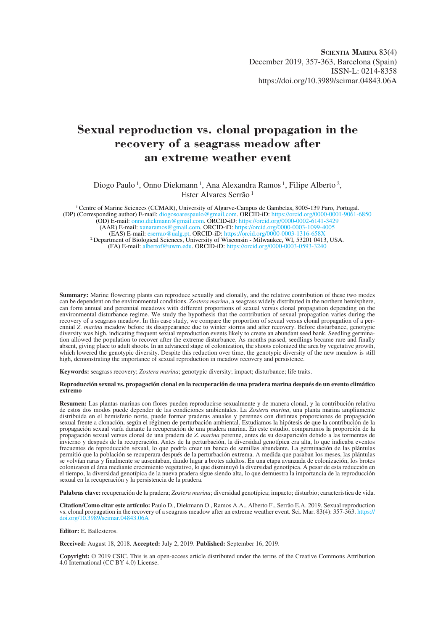# **Sexual reproduction vs. clonal propagation in the recovery of a seagrass meadow after an extreme weather event**

Diogo Paulo<sup>1</sup>, Onno Diekmann<sup>1</sup>, Ana Alexandra Ramos<sup>1</sup>, Filipe Alberto<sup>2</sup>, Ester Alvares Serrão 1

1 Centre of Marine Sciences (CCMAR), University of Algarve-Campus de Gambelas, 8005-139 Faro, Portugal. (DP) (Corresponding author) E-mail: diogosoarespaulo@gmail.com. ORCID-iD: https://orcid.org/0000-0001-9061-6850 (OD) E-mail: onno.diekmann@gmail.com. ORCID-iD: https://orcid.org/0000-0002-6141-3429 (AAR) E-mail: xanaramos@gmail.com. ORCID-iD: https://orcid.org/0000-0003-1099-4005<br>(EAS) E-mail: sserrao@ualg.pt. ORCID-iD: https://orcid.org/0000-0003-1099-4005 <sup>2</sup> Department of Biological Sciences, University of Wisconsin - Milwaukee, WI, 53201 0413, USA. (FA) E-mail: albertof@uwm.edu. ORCID-iD: https://orcid.org/0000-0003-0593-3240

**Summary:** Marine flowering plants can reproduce sexually and clonally, and the relative contribution of these two modes can be dependent on the environmental conditions. *Zostera marina*, a seagrass widely distributed in the northern hemisphere, can form annual and perennial meadows with different proportions of sexual versus clonal propagation depending on the environmental disturbance regime. We study the hypothesis that the contribution of sexual propagation varies during the recovery of a seagrass meadow. In this case study, we compare the proportion of sexual versus clonal propagation of a perennial *Z. marina* meadow before its disappearance due to winter storms and after recovery. Before disturbance, genotypic diversity was high, indicating frequent sexual reproduction events likely to create an abundant seed bank. Seedling germination allowed the population to recover after the extreme disturbance. As months passed, seedlings became rare and finally absent, giving place to adult shoots. In an advanced stage of colonization, the shoots colonized the area by vegetative growth, which lowered the genotypic diversity. Despite this reduction over time, the genotypic diversity of the new meadow is still high, demonstrating the importance of sexual reproduction in meadow recovery and persistence.

**Keywords:** seagrass recovery; *Zostera marina*; genotypic diversity; impact; disturbance; life traits.

#### **Reproducción sexual vs. propagación clonal en la recuperación de una pradera marina después de un evento climático extremo**

**Resumen:** Las plantas marinas con flores pueden reproducirse sexualmente y de manera clonal, y la contribución relativa de estos dos modos puede depender de las condiciones ambientales. La *Zostera marina*, una planta marina ampliamente distribuida en el hemisferio norte, puede formar praderas anuales y perennes con distintas proporciones de propagación sexual frente a clonación, según el régimen de perturbación ambiental. Estudiamos la hipótesis de que la contribución de la propagación sexual varía durante la recuperación de una pradera marina. En este estudio, comparamos la proporción de la propagación sexual versus clonal de una pradera de *Z. marina* perenne, antes de su desaparición debido a las tormentas de invierno y después de la recuperación. Antes de la perturbación, la diversidad genotípica era alta, lo que indicaba eventos frecuentes de reproducción sexual, lo que podría crear un banco de semillas abundante. La germinación de las plántulas permitió que la población se recuperara después de la perturbación extrema. A medida que pasaban los meses, las plántulas se volvían raras y finalmente se ausentaban, dando lugar a brotes adultos. En una etapa avanzada de colonización, los brotes colonizaron el área mediante crecimiento vegetativo, lo que disminuyó la diversidad genotípica. A pesar de esta reducción en el tiempo, la diversidad genotípica de la nueva pradera sigue siendo alta, lo que demuestra la importancia de la reproducción sexual en la recuperación y la persistencia de la pradera.

**Palabras clave:** recuperación de la pradera; *Zostera marina*; diversidad genotípica; impacto; disturbio; característica de vida.

**Citation/Como citar este artículo:** Paulo D., Diekmann O., Ramos A.A., Alberto F., Serrão E.A. 2019. Sexual reproduction vs. clonal propagation in the recovery of a seagrass meadow after an extreme weather event. Sci. Mar. 83(4): 357-363. https:// doi.org/10.3989/scimar.04843.06A

#### **Editor:** E. Ballesteros.

**Received:** August 18, 2018. **Accepted:** July 2, 2019. **Published:** September 16, 2019.

**Copyright:** © 2019 CSIC. This is an open-access article distributed under the terms of the Creative Commons Attribution 4.0 International (CC BY 4.0) License.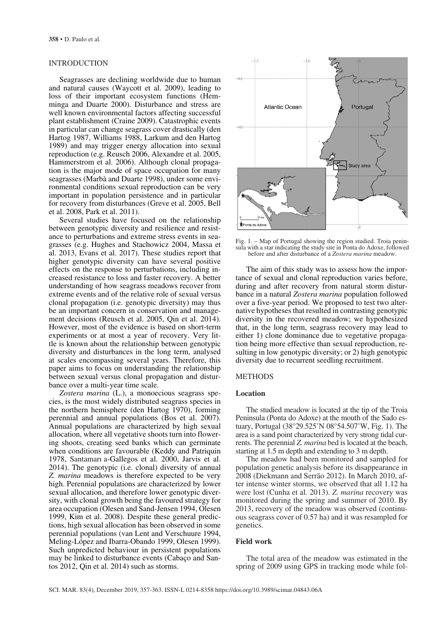# INTRODUCTION

Seagrasses are declining worldwide due to human and natural causes (Waycott et al. 2009), leading to loss of their important ecosystem functions (Hemminga and Duarte 2000). Disturbance and stress are well known environmental factors affecting successful plant establishment (Craine 2009). Catastrophic events in particular can change seagrass cover drastically (den Hartog 1987, Williams 1988, Larkum and den Hartog 1989) and may trigger energy allocation into sexual reproduction (e.g. Reusch 2006, Alexandre et al. 2005, Hammerstrom et al. 2006). Although clonal propagation is the major mode of space occupation for many seagrasses (Marbà and Duarte 1998), under some environmental conditions sexual reproduction can be very important in population persistence and in particular for recovery from disturbances (Greve et al. 2005, Bell et al. 2008, Park et al. 2011).

Several studies have focused on the relationship between genotypic diversity and resilience and resistance to perturbations and extreme stress events in seagrasses (e.g. Hughes and Stachowicz 2004, Massa et al. 2013, Evans et al. 2017). These studies report that higher genotypic diversity can have several positive effects on the response to perturbations, including increased resistance to loss and faster recovery. A better understanding of how seagrass meadows recover from extreme events and of the relative role of sexual versus clonal propagation (i.e. genotypic diversity) may thus be an important concern in conservation and management decisions (Reusch et al. 2005, Qin et al. 2014). However, most of the evidence is based on short-term experiments or at most a year of recovery. Very little is known about the relationship between genotypic diversity and disturbances in the long term, analysed at scales encompassing several years. Therefore, this paper aims to focus on understanding the relationship between sexual versus clonal propagation and disturbance over a multi-year time scale.

*Zostera marina* (L.), a monoecious seagrass species, is the most widely distributed seagrass species in the northern hemisphere (den Hartog 1970), forming perennial and annual populations (Bos et al. 2007). Annual populations are characterized by high sexual allocation, where all vegetative shoots turn into flowering shoots, creating seed banks which can germinate when conditions are favourable (Keddy and Patriquin 1978, Santamarı́a-Gallegos et al. 2000, Jarvis et al. 2014). The genotypic (i.e. clonal) diversity of annual *Z. marina* meadows is therefore expected to be very high. Perennial populations are characterized by lower sexual allocation, and therefore lower genotypic diversity, with clonal growth being the favoured strategy for area occupation (Olesen and Sand-Jensen 1994, Olesen 1999, Kim et al. 2008). Despite these general predictions, high sexual allocation has been observed in some perennial populations (van Lent and Verschuure 1994, Meling-López and Ibarra-Obando 1999, Olesen 1999). Such unpredicted behaviour in persistent populations may be linked to disturbance events (Cabaço and Santos 2012, Qin et al. 2014) such as storms.



Fig. 1. – Map of Portugal showing the region studied. Troia peninsula with a star indicating the study site in Ponta do Adoxe, followed before and after disturbance of a *Zostera marina* meadow.

The aim of this study was to assess how the importance of sexual and clonal reproduction varies before, during and after recovery from natural storm disturbance in a natural *Zostera marina* population followed over a five-year period. We proposed to test two alternative hypotheses that resulted in contrasting genotypic diversity in the recovered meadow; we hypothesized that, in the long term, seagrass recovery may lead to either 1) clone dominance due to vegetative propagation being more effective than sexual reproduction, resulting in low genotypic diversity; or 2) high genotypic diversity due to recurrent seedling recruitment.

#### **METHODS**

# **Location**

The studied meadow is located at the tip of the Troia Peninsula (Ponta do Adoxe) at the mouth of the Sado estuary, Portugal (38°29.525'N 08°54.507'W, Fig. 1). The area is a sand point characterized by very strong tidal currents. The perennial *Z. marina* bed is located at the beach, starting at 1.5 m depth and extending to 3 m depth.

The meadow had been monitored and sampled for population genetic analysis before its disappearance in 2008 (Diekmann and Serrão 2012). In March 2010, after intense winter storms, we observed that all 1.12 ha were lost (Cunha et al. 2013). *Z. marina* recovery was monitored during the spring and summer of 2010. By 2013, recovery of the meadow was observed (continuous seagrass cover of 0.57 ha) and it was resampled for genetics.

### **Field work**

The total area of the meadow was estimated in the spring of 2009 using GPS in tracking mode while fol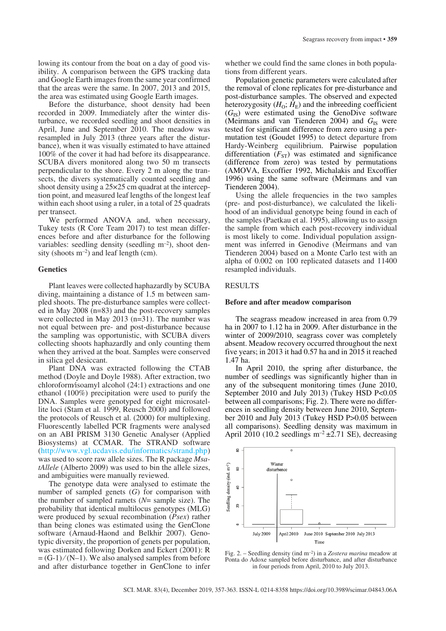lowing its contour from the boat on a day of good visibility. A comparison between the GPS tracking data and Google Earth images from the same year confirmed that the areas were the same. In 2007, 2013 and 2015, the area was estimated using Google Earth images.

Before the disturbance, shoot density had been recorded in 2009. Immediately after the winter disturbance, we recorded seedling and shoot densities in April, June and September 2010. The meadow was resampled in July 2013 (three years after the disturbance), when it was visually estimated to have attained 100% of the cover it had had before its disappearance. SCUBA divers monitored along two 50 m transects perpendicular to the shore. Every 2 m along the transects, the divers systematically counted seedling and shoot density using a 25×25 cm quadrat at the interception point, and measured leaf lengths of the longest leaf within each shoot using a ruler, in a total of 25 quadrats per transect.

We performed ANOVA and, when necessary, Tukey tests (R Core Team 2017) to test mean differences before and after disturbance for the following variables: seedling density (seedling  $m^{-2}$ ), shoot density (shoots  $m^{-2}$ ) and leaf length (cm).

### **Genetics**

Plant leaves were collected haphazardly by SCUBA diving, maintaining a distance of 1.5 m between sampled shoots. The pre-disturbance samples were collected in May 2008 (n=83) and the post-recovery samples were collected in May 2013 (n=31). The number was not equal between pre- and post-disturbance because the sampling was opportunistic, with SCUBA divers collecting shoots haphazardly and only counting them when they arrived at the boat. Samples were conserved in silica gel desiccant.

Plant DNA was extracted following the CTAB method (Doyle and Doyle 1988). After extraction, two chloroform⁄isoamyl alcohol (24:1) extractions and one ethanol (100%) precipitation were used to purify the DNA. Samples were genotyped for eight microsatellite loci (Stam et al. 1999, Reusch 2000) and followed the protocols of Reusch et al. (2000) for multiplexing. Fluorescently labelled PCR fragments were analysed on an ABI PRISM 3130 Genetic Analyser (Applied Biosystems) at CCMAR. The STRAND software (http://www.vgl.ucdavis.edu/informatics/strand.php) was used to score raw allele sizes. The R package *MsatAllele* (Alberto 2009) was used to bin the allele sizes, and ambiguities were manually reviewed.

The genotype data were analysed to estimate the number of sampled genets (*G*) for comparison with the number of sampled ramets (*N*= sample size). The probability that identical multilocus genotypes (MLG) were produced by sexual recombination (*Psex*) rather than being clones was estimated using the GenClone software (Arnaud-Haond and Belkhir 2007). Genotypic diversity, the proportion of genets per population, was estimated following Dorken and Eckert (2001): R  $=(G-1)/(N-1)$ . We also analysed samples from before and after disturbance together in GenClone to infer

whether we could find the same clones in both populations from different years.

Population genetic parameters were calculated after the removal of clone replicates for pre-disturbance and post-disturbance samples. The observed and expected heterozygosity  $(H_0; H_E)$  and the inbreeding coefficient  $(G<sub>IS</sub>)$  were estimated using the GenoDive software (Meirmans and van Tienderen 2004) and  $G<sub>IS</sub>$  were tested for significant difference from zero using a permutation test (Goudet 1995) to detect departure from Hardy-Weinberg equilibrium. Pairwise population differentiation  $(F_{ST})$  was estimated and significance (difference from zero) was tested by permutations (AMOVA, Excoffier 1992, Michalakis and Excoffier 1996) using the same software (Meirmans and van Tienderen 2004).

Using the allele frequencies in the two samples (pre- and post-disturbance), we calculated the likelihood of an individual genotype being found in each of the samples (Paetkau et al. 1995), allowing us to assign the sample from which each post-recovery individual is most likely to come. Individual population assignment was inferred in Genodive (Meirmans and van Tienderen 2004) based on a Monte Carlo test with an alpha of 0.002 on 100 replicated datasets and 11400 resampled individuals.

# RESULTS

#### **Before and after meadow comparison**

The seagrass meadow increased in area from 0.79 ha in 2007 to 1.12 ha in 2009. After disturbance in the winter of 2009/2010, seagrass cover was completely absent. Meadow recovery occurred throughout the next five years; in 2013 it had 0.57 ha and in 2015 it reached 1.47 ha.

In April 2010, the spring after disturbance, the number of seedlings was significantly higher than in any of the subsequent monitoring times (June 2010, September 2010 and July 2013) (Tukey HSD P<0.05 between all comparisons; Fig. 2). There were no differences in seedling density between June 2010, September 2010 and July 2013 (Tukey HSD P>0.05 between all comparisons). Seedling density was maximum in April 2010 (10.2 seedlings  $m^{-2} \pm 2.71$  SE), decreasing



Fig. 2. – Seedling density (ind m–2) in a *Zostera marina* meadow at Ponta do Adoxe sampled before disturbance, and after disturbance in four periods from April, 2010 to July 2013.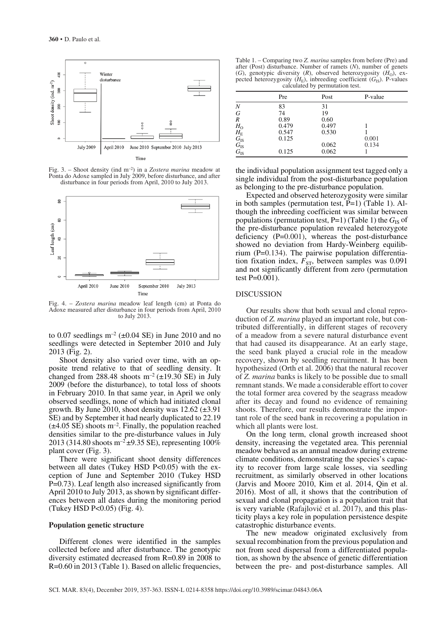

Fig. 3. – Shoot density (ind m–2) in a *Zostera marina* meadow at Ponta do Adoxe sampled in July 2009, before disturbance, and after disturbance in four periods from April, 2010 to July 2013.



Fig. 4. – *Zostera marina* meadow leaf length (cm) at Ponta do Adoxe measured after disturbance in four periods from April, 2010 to July 2013.

to 0.07 seedlings  $m^{-2}$  ( $\pm$ 0.04 SE) in June 2010 and no seedlings were detected in September 2010 and July 2013 (Fig. 2).

Shoot density also varied over time, with an opposite trend relative to that of seedling density. It changed from 288.48 shoots  $m^{-2}$  ( $\pm$ 19.30 SE) in July 2009 (before the disturbance), to total loss of shoots in February 2010. In that same year, in April we only observed seedlings, none of which had initiated clonal growth. By June 2010, shoot density was  $12.62 \ (\pm 3.91)$ SE) and by September it had nearly duplicated to 22.19  $(\pm 4.05 \text{ SE})$  shoots m<sup>-2</sup>. Finally, the population reached densities similar to the pre-disturbance values in July 2013 (314.80 shoots m<sup>-2</sup> $\pm$ 9.35 SE), representing 100% plant cover (Fig. 3).

There were significant shoot density differences between all dates (Tukey HSD P<0.05) with the exception of June and September 2010 (Tukey HSD P=0.73). Leaf length also increased significantly from April 2010 to July 2013, as shown by significant differences between all dates during the monitoring period (Tukey HSD P<0.05) (Fig. 4).

#### **Population genetic structure**

Different clones were identified in the samples collected before and after disturbance. The genotypic diversity estimated decreased from R=0.89 in 2008 to R=0.60 in 2013 (Table 1). Based on allelic frequencies,

Table 1. – Comparing two *Z. marina* samples from before (Pre) and after (Post) disturbance. Number of ramets (*N*), number of genets (*G*), genotypic diversity (*R*), observed heterozygosity ( $H_0$ ), expected heterozygosity  $(H_{\rm E})$ , inbreeding coefficient  $(G_{\rm IS})$ . P-values calculated by permutation test.

|                                                                                 | Pre   | Post  | P-value |
|---------------------------------------------------------------------------------|-------|-------|---------|
| N                                                                               | 83    | 31    |         |
| G                                                                               | 74    | 19    |         |
| R                                                                               | 0.89  | 0.60  |         |
| $H_{\rm O}$                                                                     | 0.479 | 0.497 |         |
|                                                                                 | 0.547 | 0.530 |         |
|                                                                                 | 0.125 |       | 0.001   |
|                                                                                 |       | 0.062 | 0.134   |
| $\begin{array}{c} H_{\rm E} \ G_{\rm IS} \ G_{\rm IS} \ G_{\rm IS} \end{array}$ | 0.125 | 0.062 |         |

the individual population assignment test tagged only a single individual from the post-disturbance population as belonging to the pre-disturbance population.

Expected and observed heterozygosity were similar in both samples (permutation test, P=1) (Table 1). Although the inbreeding coefficient was similar between populations (permutation test,  $P=1$ ) (Table 1) the  $G<sub>IS</sub>$  of the pre-disturbance population revealed heterozygote deficiency (P=0.001), whereas the post-disturbance showed no deviation from Hardy-Weinberg equilibrium (P=0.134). The pairwise population differentiation fixation index,  $\overline{F}_{ST}$ , between samples was 0.091 and not significantly different from zero (permutation test P=0.001).

#### DISCUSSION

Our results show that both sexual and clonal reproduction of *Z. marina* played an important role, but contributed differentially, in different stages of recovery of a meadow from a severe natural disturbance event that had caused its disappearance. At an early stage, the seed bank played a crucial role in the meadow recovery, shown by seedling recruitment. It has been hypothesized (Orth et al. 2006) that the natural recover of *Z. marina* banks is likely to be possible due to small remnant stands. We made a considerable effort to cover the total former area covered by the seagrass meadow after its decay and found no evidence of remaining shoots. Therefore, our results demonstrate the important role of the seed bank in recovering a population in which all plants were lost.

On the long term, clonal growth increased shoot density, increasing the vegetated area. This perennial meadow behaved as an annual meadow during extreme climate conditions, demonstrating the species's capacity to recover from large scale losses, via seedling recruitment, as similarly observed in other locations (Jarvis and Moore 2010, Kim et al. 2014, Qin et al. 2016). Most of all, it shows that the contribution of sexual and clonal propagation is a population trait that is very variable (Rafajlović et al. 2017), and this plasticity plays a key role in population persistence despite catastrophic disturbance events.

The new meadow originated exclusively from sexual recombination from the previous population and not from seed dispersal from a differentiated population, as shown by the absence of genetic differentiation between the pre- and post-disturbance samples. All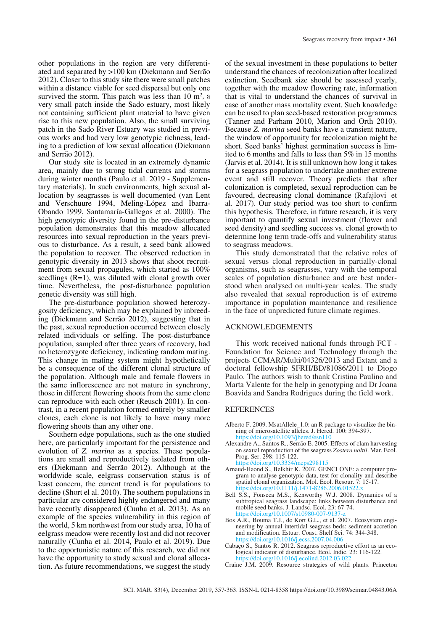other populations in the region are very differentiated and separated by >100 km (Diekmann and Serrão 2012). Closer to this study site there were small patches within a distance viable for seed dispersal but only one survived the storm. This patch was less than  $10 \text{ m}^2$ , a very small patch inside the Sado estuary, most likely not containing sufficient plant material to have given rise to this new population. Also, the small surviving patch in the Sado River Estuary was studied in previous works and had very low genotypic richness, leading to a prediction of low sexual allocation (Diekmann and Serrão 2012).

Our study site is located in an extremely dynamic area, mainly due to strong tidal currents and storms during winter months (Paulo et al. 2019 - Supplementary materials). In such environments, high sexual allocation by seagrasses is well documented (van Lent and Verschuure 1994, Meling-López and Ibarra-Obando 1999, Santamaría-Gallegos et al. 2000). The high genotypic diversity found in the pre-disturbance population demonstrates that this meadow allocated resources into sexual reproduction in the years previous to disturbance. As a result, a seed bank allowed the population to recover. The observed reduction in genotypic diversity in 2013 shows that shoot recruitment from sexual propagules, which started as 100% seedlings (R=1), was diluted with clonal growth over time. Nevertheless, the post-disturbance population genetic diversity was still high.

The pre-disturbance population showed heterozygosity deficiency, which may be explained by inbreeding (Diekmann and Serrão 2012), suggesting that in the past, sexual reproduction occurred between closely related individuals or selfing. The post-disturbance population, sampled after three years of recovery, had no heterozygote deficiency, indicating random mating. This change in mating system might hypothetically be a consequence of the different clonal structure of the population. Although male and female flowers in the same inflorescence are not mature in synchrony, those in different flowering shoots from the same clone can reproduce with each other (Reusch 2001). In contrast, in a recent population formed entirely by smaller clones, each clone is not likely to have many more flowering shoots than any other one.

Southern edge populations, such as the one studied here, are particularly important for the persistence and evolution of *Z. marina* as a species. These populations are small and reproductively isolated from others (Diekmann and Serrão 2012). Although at the worldwide scale, eelgrass conservation status is of least concern, the current trend is for populations to decline (Short el al. 2010). The southern populations in particular are considered highly endangered and many have recently disappeared (Cunha et al. 2013). As an example of the species vulnerability in this region of the world, 5 km northwest from our study area, 10 ha of eelgrass meadow were recently lost and did not recover naturally (Cunha et al. 2014, Paulo et al. 2019). Due to the opportunistic nature of this research, we did not have the opportunity to study sexual and clonal allocation. As future recommendations, we suggest the study

of the sexual investment in these populations to better understand the chances of recolonization after localized extinction. Seedbank size should be assessed yearly, together with the meadow flowering rate, information that is vital to understand the chances of survival in case of another mass mortality event. Such knowledge can be used to plan seed-based restoration programmes (Tanner and Parham 2010, Marion and Orth 2010). Because *Z. marina* seed banks have a transient nature, the window of opportunity for recolonization might be short. Seed banks' highest germination success is limited to 6 months and falls to less than 5% in 15 months (Jarvis et al. 2014). It is still unknown how long it takes for a seagrass population to undertake another extreme event and still recover. Theory predicts that after colonization is completed, sexual reproduction can be favoured, decreasing clonal dominance (Rafajlovi et al. 2017). Our study period was too short to confirm this hypothesis. Therefore, in future research, it is very important to quantify sexual investment (flower and seed density) and seedling success vs. clonal growth to determine long term trade-offs and vulnerability status to seagrass meadows.

This study demonstrated that the relative roles of sexual versus clonal reproduction in partially-clonal organisms, such as seagrasses, vary with the temporal scales of population disturbance and are best understood when analysed on multi-year scales. The study also revealed that sexual reproduction is of extreme importance in population maintenance and resilience in the face of unpredicted future climate regimes.

# ACKNOWLEDGEMENTS

This work received national funds through FCT - Foundation for Science and Technology through the projects CCMAR/Multi/04326/2013 and Extant and a doctoral fellowship SFRH/BD/81086/2011 to Diogo Paulo. The authors wish to thank Cristina Paulino and Marta Valente for the help in genotyping and Dr Joana Boavida and Sandra Rodrigues during the field work.

# REFERENCES

- Alberto F. 2009. MsatAllele\_1.0: an R package to visualize the binning of microsatellite alleles. J. Hered. 100: 394-397. https://doi.org/10.1093/jhered/e
- Alexandre A., Santos R., Serrão E. 2005. Effects of clam harvesting on sexual reproduction of the seagrass *Zostera noltii*. Mar. Ecol. Prog. Ser. 298: 115-122.  $\frac{h}{d}$ doi.org/10.3354/meps298115

- Arnaud-Haond S., Belkhir K. 2007. GENCLONE: a computer program to analyse genotypic data, test for clonality and describe spatial clonal organization. Mol. Ecol. Resour. 7: 15-17.  $\frac{d}{d}$ oi.org/10.1111/j.1471
- Bell S.S., Fonseca M.S., Kenworthy W.J. 2008. Dynamics of a subtropical seagrass landscape: links between disturbance and mobile seed banks. J. Landsc. Ecol. 23: 67-74. https://doi.org/10.1007/s109
- Bos A.R., Bouma T.J., de Kort G.L., et al. 2007. Ecosystem engineering by annual intertidal seagrass beds: sediment accretion and modification. Estuar. Coast. Shelf Sci. 74: 344-348. https://doi.org/10.1016/j.ecss.2007.04.006
- Cabaço S., Santos R. 2012. Seagrass reproductive effort as an ecological indicator of disturbance. Ecol. Indic. 23: 116-122. https://doi.org/10.1016/j.ecolind.2012.03.0
- Craine J.M. 2009. Resource strategies of wild plants. Princeton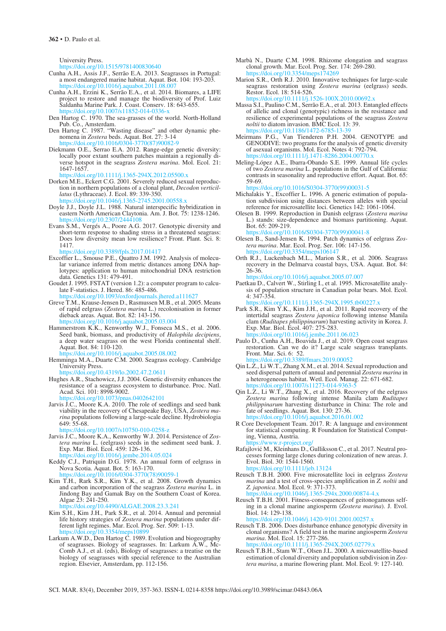University Press.

https://doi.org/10.1515/9781400830640

- Cunha A.H., Assis J.F., Serrão E.A. 2013. Seagrasses in Portugal: a most endangered marine habitat. Aquat. Bot. 104: 193-203. https://doi.org/10.1016/j.aquabot.2011.08.007
- Cunha A.H., Erzini K., Serrão E.A., et al. 2014. Biomares, a LIFE project to restore and manage the biodiversity of Prof. Luiz Saldanha Marine Park. J. Coast. Conserv. 18: 643-655. https://doi.org/10.1007/s11852-014-0336-x
- Den Hartog C. 1970. The sea-grasses of the world. North-Holland Pub. Co., Amsterdam.
- Den Hartog C. 1987. "Wasting disease" and other dynamic phenomena in *Zostera* beds. Aquat. Bot. 27: 3-14 https://doi.org/10.1016/0304-3
- Diekmann O.E., Serrao E.A. 2012. Range-edge genetic diversity: locally poor extant southern patches maintain a regionally diverse hotspot in the seagrass *Zostera marina*. Mol. Ecol. 21: 1647-1657.

https://doi.org/10.1111/j.1365-294X.2012.05500.x

- Dorken M.E., Eckert C.G. 2001. Severely reduced sexual reproduction in northern populations of a clonal plant, *Decodon verticillatus* (Lythraceae). J. Ecol. 89: 339-350. https://doi.org/10.1046/j.1365-2745.2001.00558.x
- Doyle J.J., Doyle J.L. 1988. Natural interspecific hybridization in eastern North American Claytonia. Am. J. Bot. 75: 1238-1246. https://doi.org/10.2307/244
- Evans S.M., Vergés A., Poore A.G. 2017. Genotypic diversity and short-term response to shading stress in a threatened seagrass: Does low diversity mean low resilience? Front. Plant. Sci. 8: 1417. https://doi.org/10.3389/fpls.2017.01417
- Excoffier L., Smouse P.E., Quattro J.M. 1992. Analysis of molecular variance inferred from metric distances among DNA haplotypes: application to human mitochondrial DNA restriction
- data. Genetics 131: 479-491. Goudet J. 1995. FSTAT (version 1.2): a computer program to calculate F-statistics. J. Hered. 86: 485-486.

https://doi.org/10.1093/oxfordjournals.jhered.a111627

- Greve T.M., Krause-Jensen D., Rasmussen M.B., et al. 2005. Means of rapid eelgrass (*Zostera marina* L.) recolonisation in former dieback areas. Aquat. Bot. 82: 143-156. https://doi.org/10.1016/j.aquabot.2005.03.004
- Hammerstrom K.K., Kenworthy W.J., Fonseca M.S., et al. 2006. Seed bank, biomass, and productivity of *Halophila decipiens*, a deep water seagrass on the west Florida continental shelf. Aquat. Bot. 84: 110-120. https://doi.org/10.1016/j.aquabot.2005.08.002
- Hemminga M.A., Duarte C.M. 2000. Seagrass ecology. Cambridge University Press.
- https://doi.org/10.4319/lo.2002.47.2.0611
- Hughes A.R., Stachowicz, J.J. 2004. Genetic diversity enhances the resistance of a seagrass ecosystem to disturbance. Proc. Natl. Acad. Sci. 101: 8998-9002. https://doi.org/10.1073/pnas.0402642101
- Jarvis J.C., Moore K.A. 2010. The role of seedlings and seed bank viability in the recovery of Chesapeake Bay, USA, *Zostera marina* populations following a large-scale decline. Hydrobiologia 649: 55-68.

https://doi.org/10.1007/s10750-010-0258-

- Jarvis J.C., Moore K.A., Kenworthy W.J. 2014. Persistence of *Zostera marina* L. (eelgrass) seeds in the sediment seed bank. J. Exp. Mar. Biol. Ecol. 459: 126-136. https://doi.org/10.1016/j.jembe.2014.05.024
	-
- Keddy C.J., Patriquin D.G. 1978. An annual form of eelgrass in Nova Scotia. Aquat. Bot. 5: 163-170. https://doi.org/10.1016/0304-3770(78)
- Kim T.H., Rark S.R., Kim Y.K., et al. 2008. Growth dynamics and carbon incorporation of the seagrass *Zostera marina* L. in Jindong Bay and Gamak Bay on the Southern Coast of Korea. Algae 23: 241-250.
	- https://doi.org/10.4490/ALGAE.2008.23.3.241
- Kim S.H., Kim J.H., Park S.R., et al. 2014. Annual and perennial life history strategies of *Zostera marina* populations under different light regimes. Mar. Ecol. Prog. Ser. 509: 1-13. https://doi.org/10.3354/meps10899
- Larkum A.W.D., Den Hartog C. 1989. Evolution and biogeography of seagrasses. Biology of seagrasses. In: Larkum A.W., Mc-Comb A.J., et al. (eds), Biology of seagrasses: a treatise on the biology of seagrasses with special reference to the Australian region. Elsevier, Amsterdam, pp. 112-156.
- Marbà N., Duarte C.M. 1998. Rhizome elongation and seagrass clonal growth. Mar. Ecol. Prog. Ser. 174: 269-280. https://doi.org/10.3354/meps174269
- Marion S.R., Orth R.J. 2010. Innovative techniques for large-scale seagrass restoration using *Zostera marina* (eelgrass) seeds. Restor. Ecol. 18: 514-526. https://doi.org/10.1111/j.1526-100X.2010.00692.x
- Massa S.I., Paulino C.M., Serrão E.A., et al. 2013. Entangled effects of allelic and clonal (genotypic) richness in the resistance and resilience of experimental populations of the seagrass *Zostera noltii* to diatom invasion. BMC Ecol. 13: 39. https://doi.org/10.1186/1472-6785-13-39
- Meirmans P.G., Van Tienderen P.H. 2004. GENOTYPE and GENODIVE: two programs for the analysis of genetic diversity of asexual organisms. Mol. Ecol. Notes 4: 792-794. https://doi.org/10.1111/j.1471-8286.2004.00770.x
- Meling-López A.E., Ibarra-Obando S.E. 1999. Annual life cycles of two *Zostera marina* L. populations in the Gulf of California: contrasts in seasonality and reproductive effort. Aquat. Bot. 65: 59-69.

https://doi.org/10.1016/S0304-3770(99)00031-5

- Michalakis Y., Excoffier L. 1996. A generic estimation of population subdivision using distances between alleles with special reference for microsatellite loci. Genetics 142: 1061-1064.
- Olesen B. 1999. Reproduction in Danish eelgrass (*Zostera marina*  L.) stands: size-dependence and biomass partitioning. Aquat. Bot. 65: 209-219.

https://doi.org/10.1016/S0304-3770(99)00041-8

- Olesen B., Sand-Jensen K. 1994. Patch dynamics of eelgrass *Zostera marina*. Mar. Ecol. Prog. Ser. 106: 147-156. 1061
- Orth R.J., Luckenbach M.L., Marion S.R., et al. 2006. Seagrass recovery in the Delmarva coastal bays, USA. Aquat. Bot. 84: 26-36.

https://doi.org/10.1016/j.aquabot.2005.07.007

Paetkau D., Calvert W., Stirling I., et al. 1995. Microsatellite analysis of population structure in Canadian polar bears. Mol. Ecol. 4:  $347 - 354$ .<br>https://doi.org

 $h/10.1111/$ j.1365-294X.1995.tb00227.x

- Park S.R., Kim Y.K., Kim J.H., et al. 2011. Rapid recovery of the intertidal seagrass *Zostera japonica* following intense Manila clam (*Ruditapes philippinarum*) harvesting activity in Korea. J. Exp. Mar. Biol. Ecol. 407: 275-283.
- $\frac{1}{\frac{1}{100}}$  //doi.org/10.1016/j.jembe.2011.06.023 Paulo D., Cunha A.H., Boavida J., et al. 2019. Open coast seagrass restoration. Can we do it? Large scale seagrass transplants. Front. Mar. Sci. 6: 52.

https://doi.org/10.3389/fmars.2019.00052

- Qin L.Z., Li W.T., Zhang X.M., et al. 2014. Sexual reproduction and seed dispersal pattern of annual and perennial *Zostera marina* in a heterogeneous habitat. Wetl. Ecol. Manag. 22: 671-682. https://doi.org/10.1007/s11273-014-9363-5
- Qin L.Z., Li W.T., Zhang X., et al. 2016. Recovery of the eelgrass *Zostera marina* following intense Manila clam *Ruditapes philippinarum* harvesting disturbance in China: The role and fate of seedlings. Aquat. Bot. 130: 27-36. https://doi.org/10.1016/j.aquabot.2016.01.002
- R Core Development Team. 2017. R: A language and environment for statistical computing. R Foundation for Statistical Computing, Vienna, Austria. https://www.r-project.org/
- Rafajlović M., Kleinhans D., Gulliksson C., et al. 2017. Neutral processes forming large clones during colonization of new areas. J. Evol. Biol. 30: 1544-1560. https://doi.org/10.1111/jeb.13124
- Reusch T.B.H. 2000. Five microsatellite loci in eelgrass *Zostera marina* and a test of cross-species amplification in *Z. noltii* and *Z. japonica*. Mol. Ecol. 9: 371-373. https://doi.org/10.1046/j.1365-294x.2000.00874-4.x
- Reusch T.B.H. 2001. Fitness-consequences of geitonogamous selfing in a clonal marine angiosperm (*Zostera marina*). J. Evol. Biol. 14: 129-138.

https://doi.org/10.1046/j.1420-9101.2001.00257.x

- Reusch T.B. 2006. Does disturbance enhance genotypic diversity in clonal organisms? A field test in the marine angiosperm *Zostera marina*. Mol. Ecol. 15: 277-286. https://doi.org/10.1111/j.1365-294X.2005.02779.x
- Reusch T.B.H., Stam W.T., Olsen J.L. 2000. A microsatellite-based estimation of clonal diversity and population subdivision in *Zostera marina*, a marine flowering plant. Mol. Ecol. 9: 127-140.